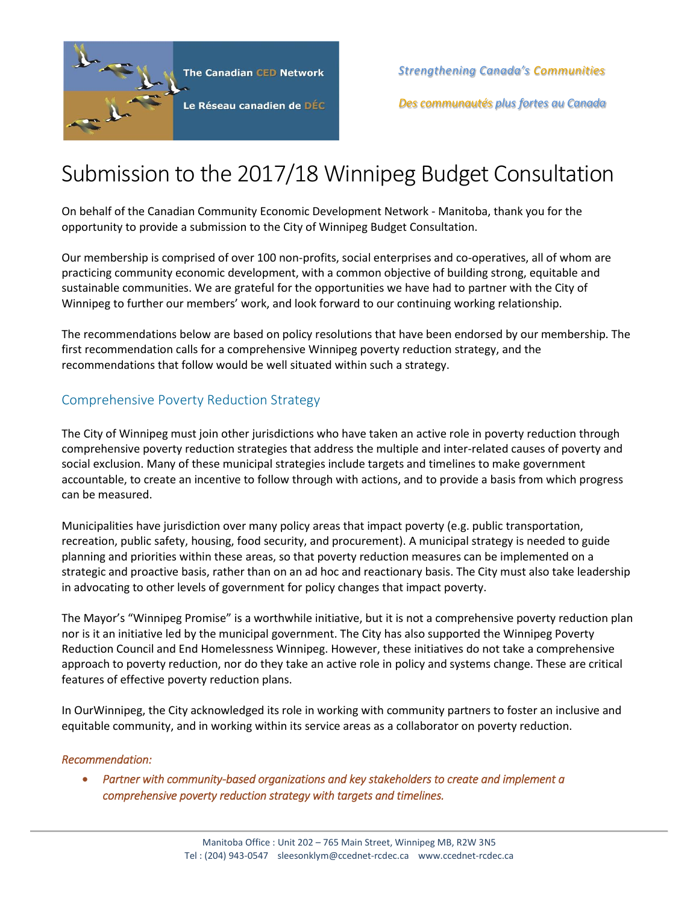

*Strengthening Canada's Communities*

*Des communautés plus fortes au Canada*

# Submission to the 2017/18 Winnipeg Budget Consultation

On behalf of the Canadian Community Economic Development Network - Manitoba, thank you for the opportunity to provide a submission to the City of Winnipeg Budget Consultation.

Our membership is comprised of over 100 non-profits, social enterprises and co-operatives, all of whom are practicing community economic development, with a common objective of building strong, equitable and sustainable communities. We are grateful for the opportunities we have had to partner with the City of Winnipeg to further our members' work, and look forward to our continuing working relationship.

The recommendations below are based on policy resolutions that have been endorsed by our membership. The first recommendation calls for a comprehensive Winnipeg poverty reduction strategy, and the recommendations that follow would be well situated within such a strategy.

# Comprehensive Poverty Reduction Strategy

The City of Winnipeg must join other jurisdictions who have taken an active role in poverty reduction through comprehensive poverty reduction strategies that address the multiple and inter-related causes of poverty and social exclusion. Many of these municipal strategies include targets and timelines to make government accountable, to create an incentive to follow through with actions, and to provide a basis from which progress can be measured.

Municipalities have jurisdiction over many policy areas that impact poverty (e.g. public transportation, recreation, public safety, housing, food security, and procurement). A municipal strategy is needed to guide planning and priorities within these areas, so that poverty reduction measures can be implemented on a strategic and proactive basis, rather than on an ad hoc and reactionary basis. The City must also take leadership in advocating to other levels of government for policy changes that impact poverty.

The Mayor's "Winnipeg Promise" is a worthwhile initiative, but it is not a comprehensive poverty reduction plan nor is it an initiative led by the municipal government. The City has also supported the Winnipeg Poverty Reduction Council and End Homelessness Winnipeg. However, these initiatives do not take a comprehensive approach to poverty reduction, nor do they take an active role in policy and systems change. These are critical features of effective poverty reduction plans.

In OurWinnipeg, the City acknowledged its role in working with community partners to foster an inclusive and equitable community, and in working within its service areas as a collaborator on poverty reduction.

## *Recommendation:*

 *Partner with community-based organizations and key stakeholders to create and implement a comprehensive poverty reduction strategy with targets and timelines.*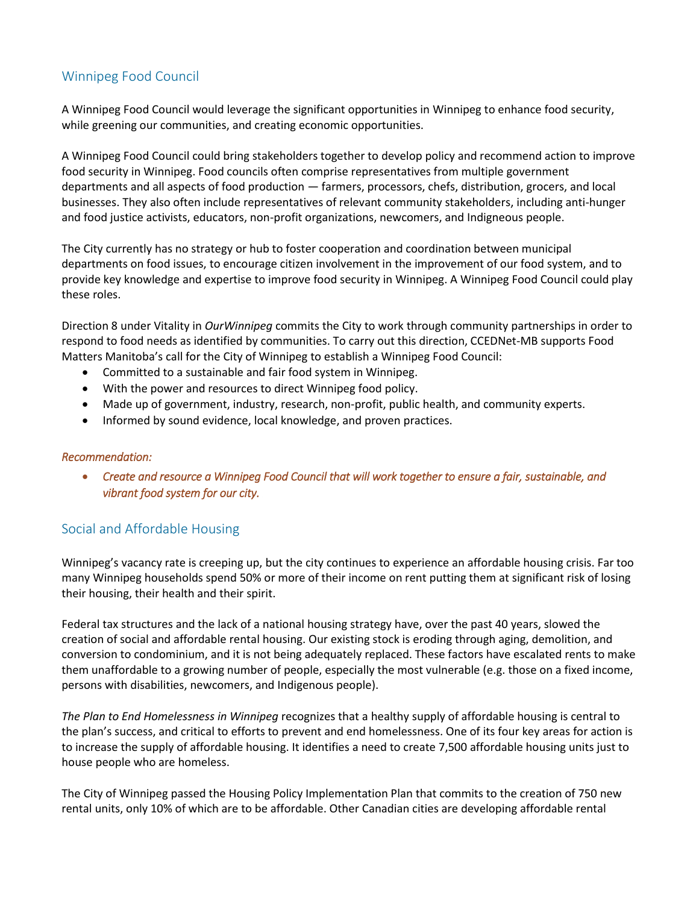# Winnipeg Food Council

A Winnipeg Food Council would leverage the significant opportunities in Winnipeg to enhance food security, while greening our communities, and creating economic opportunities.

A Winnipeg Food Council could bring stakeholders together to develop policy and recommend action to improve food security in Winnipeg. Food councils often comprise representatives from multiple government departments and all aspects of food production — farmers, processors, chefs, distribution, grocers, and local businesses. They also often include representatives of relevant community stakeholders, including anti-hunger and food justice activists, educators, non-profit organizations, newcomers, and Indigneous people.

The City currently has no strategy or hub to foster cooperation and coordination between municipal departments on food issues, to encourage citizen involvement in the improvement of our food system, and to provide key knowledge and expertise to improve food security in Winnipeg. A Winnipeg Food Council could play these roles.

Direction 8 under Vitality in *OurWinnipeg* commits the City to work through community partnerships in order to respond to food needs as identified by communities. To carry out this direction, CCEDNet-MB supports Food Matters Manitoba's call for the City of Winnipeg to establish a Winnipeg Food Council:

- Committed to a sustainable and fair food system in Winnipeg.
- With the power and resources to direct Winnipeg food policy.
- Made up of government, industry, research, non-profit, public health, and community experts.
- Informed by sound evidence, local knowledge, and proven practices.

#### *Recommendation:*

 *Create and resource a Winnipeg Food Council that will work together to ensure a fair, sustainable, and vibrant food system for our city.* 

# Social and Affordable Housing

Winnipeg's vacancy rate is creeping up, but the city continues to experience an affordable housing crisis. Far too many Winnipeg households spend 50% or more of their income on rent putting them at significant risk of losing their housing, their health and their spirit.

Federal tax structures and the lack of a national housing strategy have, over the past 40 years, slowed the creation of social and affordable rental housing. Our existing stock is eroding through aging, demolition, and conversion to condominium, and it is not being adequately replaced. These factors have escalated rents to make them unaffordable to a growing number of people, especially the most vulnerable (e.g. those on a fixed income, persons with disabilities, newcomers, and Indigenous people).

*The Plan to End Homelessness in Winnipeg* recognizes that a healthy supply of affordable housing is central to the plan's success, and critical to efforts to prevent and end homelessness. One of its four key areas for action is to increase the supply of affordable housing. It identifies a need to create 7,500 affordable housing units just to house people who are homeless.

The City of Winnipeg passed the Housing Policy Implementation Plan that commits to the creation of 750 new rental units, only 10% of which are to be affordable. Other Canadian cities are developing affordable rental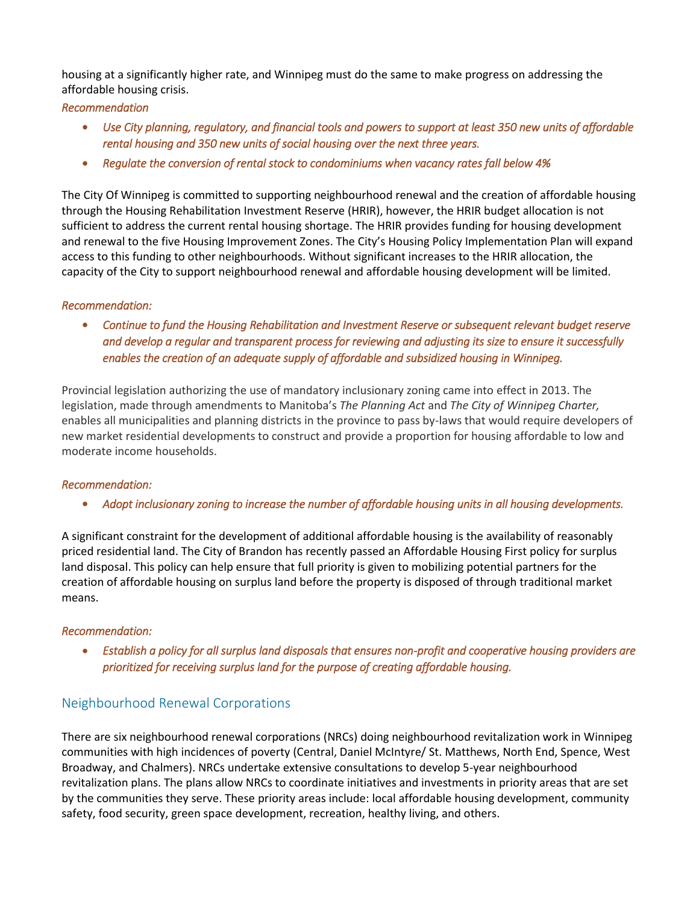housing at a significantly higher rate, and Winnipeg must do the same to make progress on addressing the affordable housing crisis.

## *Recommendation*

- *Use City planning, regulatory, and financial tools and powers to support at least 350 new units of affordable rental housing and 350 new units of social housing over the next three years.*
- *Regulate the conversion of rental stock to condominiums when vacancy rates fall below 4%*

The City Of Winnipeg is committed to supporting neighbourhood renewal and the creation of affordable housing through the Housing Rehabilitation Investment Reserve (HRIR), however, the HRIR budget allocation is not sufficient to address the current rental housing shortage. The HRIR provides funding for housing development and renewal to the five Housing Improvement Zones. The City's Housing Policy Implementation Plan will expand access to this funding to other neighbourhoods. Without significant increases to the HRIR allocation, the capacity of the City to support neighbourhood renewal and affordable housing development will be limited.

### *Recommendation:*

 *Continue to fund the Housing Rehabilitation and Investment Reserve or subsequent relevant budget reserve and develop a regular and transparent process for reviewing and adjusting its size to ensure it successfully enables the creation of an adequate supply of affordable and subsidized housing in Winnipeg.* 

Provincial legislation authorizing the use of mandatory inclusionary zoning came into effect in 2013. The legislation, made through amendments to Manitoba's *The Planning Act* and *The City of Winnipeg Charter,*  enables all municipalities and planning districts in the province to pass by-laws that would require developers of new market residential developments to construct and provide a proportion for housing affordable to low and moderate income households.

#### *Recommendation:*

*Adopt inclusionary zoning to increase the number of affordable housing units in all housing developments.* 

A significant constraint for the development of additional affordable housing is the availability of reasonably priced residential land. The City of Brandon has recently passed an Affordable Housing First policy for surplus land disposal. This policy can help ensure that full priority is given to mobilizing potential partners for the creation of affordable housing on surplus land before the property is disposed of through traditional market means.

#### *Recommendation:*

 *Establish a policy for all surplus land disposals that ensures non-profit and cooperative housing providers are prioritized for receiving surplus land for the purpose of creating affordable housing.* 

# Neighbourhood Renewal Corporations

There are six neighbourhood renewal corporations (NRCs) doing neighbourhood revitalization work in Winnipeg communities with high incidences of poverty (Central, Daniel McIntyre/ St. Matthews, North End, Spence, West Broadway, and Chalmers). NRCs undertake extensive consultations to develop 5-year neighbourhood revitalization plans. The plans allow NRCs to coordinate initiatives and investments in priority areas that are set by the communities they serve. These priority areas include: local affordable housing development, community safety, food security, green space development, recreation, healthy living, and others.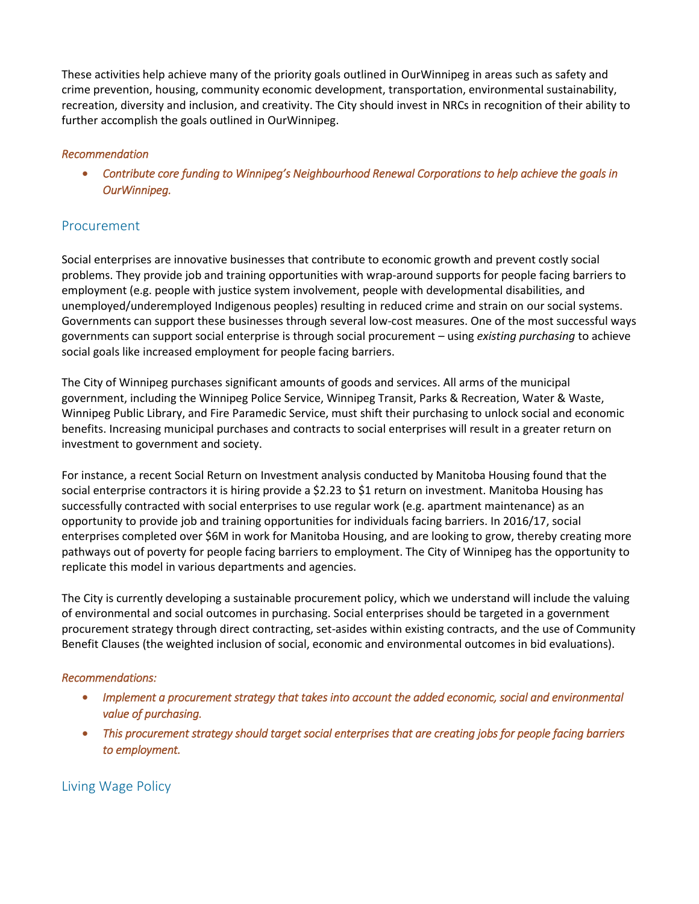These activities help achieve many of the priority goals outlined in OurWinnipeg in areas such as safety and crime prevention, housing, community economic development, transportation, environmental sustainability, recreation, diversity and inclusion, and creativity. The City should invest in NRCs in recognition of their ability to further accomplish the goals outlined in OurWinnipeg.

## *Recommendation*

 *Contribute core funding to Winnipeg's Neighbourhood Renewal Corporations to help achieve the goals in OurWinnipeg.* 

## Procurement

Social enterprises are innovative businesses that contribute to economic growth and prevent costly social problems. They provide job and training opportunities with wrap-around supports for people facing barriers to employment (e.g. people with justice system involvement, people with developmental disabilities, and unemployed/underemployed Indigenous peoples) resulting in reduced crime and strain on our social systems. Governments can support these businesses through several low-cost measures. One of the most successful ways governments can support social enterprise is through social procurement – using *existing purchasing* to achieve social goals like increased employment for people facing barriers.

The City of Winnipeg purchases significant amounts of goods and services. All arms of the municipal government, including the Winnipeg Police Service, Winnipeg Transit, Parks & Recreation, Water & Waste, Winnipeg Public Library, and Fire Paramedic Service, must shift their purchasing to unlock social and economic benefits. Increasing municipal purchases and contracts to social enterprises will result in a greater return on investment to government and society.

For instance, a recent Social Return on Investment analysis conducted by Manitoba Housing found that the social enterprise contractors it is hiring provide a \$2.23 to \$1 return on investment. Manitoba Housing has successfully contracted with social enterprises to use regular work (e.g. apartment maintenance) as an opportunity to provide job and training opportunities for individuals facing barriers. In 2016/17, social enterprises completed over \$6M in work for Manitoba Housing, and are looking to grow, thereby creating more pathways out of poverty for people facing barriers to employment. The City of Winnipeg has the opportunity to replicate this model in various departments and agencies.

The City is currently developing a sustainable procurement policy, which we understand will include the valuing of environmental and social outcomes in purchasing. Social enterprises should be targeted in a government procurement strategy through direct contracting, set-asides within existing contracts, and the use of Community Benefit Clauses (the weighted inclusion of social, economic and environmental outcomes in bid evaluations).

#### *Recommendations:*

- *Implement a procurement strategy that takes into account the added economic, social and environmental value of purchasing.*
- *This procurement strategy should target social enterprises that are creating jobs for people facing barriers to employment.*

Living Wage Policy